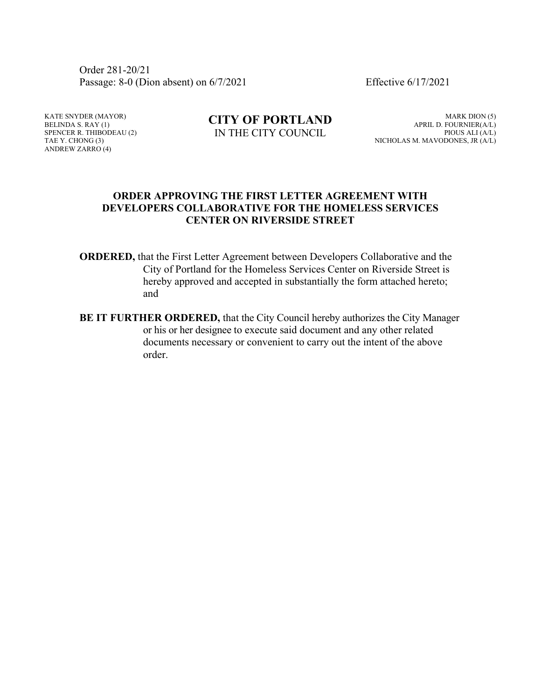Order 281-20/21 Passage: 8-0 (Dion absent) on 6/7/2021 Effective 6/17/2021

KATE SNYDER (MAYOR) BELINDA S. RAY (1) SPENCER R. THIBODEAU (2) TAE Y. CHONG (3) ANDREW ZARRO (4)

**CITY OF PORTLAND** IN THE CITY COUNCIL

MARK DION (5) APRIL D. FOURNIER(A/L) PIOUS ALI (A/L) NICHOLAS M. MAVODONES, JR (A/L)

### **ORDER APPROVING THE FIRST LETTER AGREEMENT WITH DEVELOPERS COLLABORATIVE FOR THE HOMELESS SERVICES CENTER ON RIVERSIDE STREET**

- **ORDERED,** that the First Letter Agreement between Developers Collaborative and the City of Portland for the Homeless Services Center on Riverside Street is hereby approved and accepted in substantially the form attached hereto; and
- **BE IT FURTHER ORDERED,** that the City Council hereby authorizes the City Manager or his or her designee to execute said document and any other related documents necessary or convenient to carry out the intent of the above order.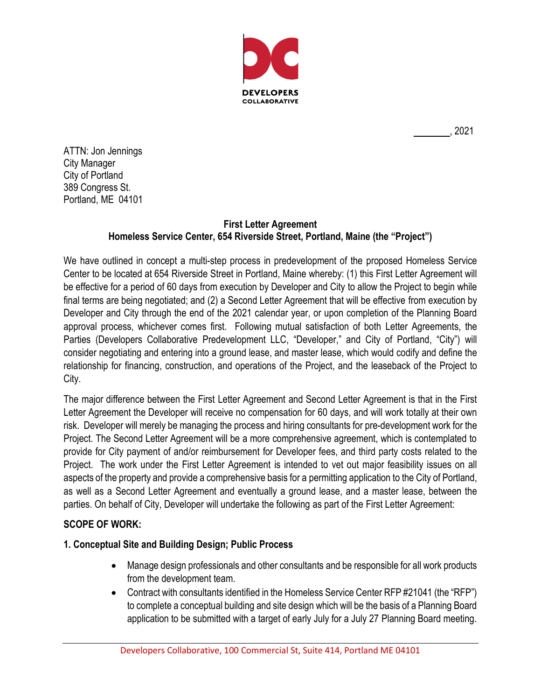

, 2021

ATTN: Jon Jennings City Manager City of Portland 389 Congress St. Portland, ME 04101

# **First Letter Agreement Homeless Service Center, 654 Riverside Street, Portland, Maine (the "Project")**

We have outlined in concept a multi-step process in predevelopment of the proposed Homeless Service Center to be located at 654 Riverside Street in Portland, Maine whereby: (1) this First Letter Agreement will be effective for a period of 60 days from execution by Developer and City to allow the Project to begin while final terms are being negotiated; and (2) a Second Letter Agreement that will be effective from execution by Developer and City through the end of the 2021 calendar year, or upon completion of the Planning Board approval process, whichever comes first. Following mutual satisfaction of both Letter Agreements, the Parties (Developers Collaborative Predevelopment LLC, "Developer," and City of Portland, "City") will consider negotiating and entering into a ground lease, and master lease, which would codify and define the relationship for financing, construction, and operations of the Project, and the leaseback of the Project to City.

The major difference between the First Letter Agreement and Second Letter Agreement is that in the First Letter Agreement the Developer will receive no compensation for 60 days, and will work totally at their own risk. Developer will merely be managing the process and hiring consultants for pre-development work for the Project. The Second Letter Agreement will be a more comprehensive agreement, which is contemplated to provide for City payment of and/or reimbursement for Developer fees, and third party costs related to the Project. The work under the First Letter Agreement is intended to vet out major feasibility issues on all aspects of the property and provide a comprehensive basis for a permitting application to the City of Portland, as well as a Second Letter Agreement and eventually a ground lease, and a master lease, between the parties. On behalf of City, Developer will undertake the following as part of the First Letter Agreement:

# **SCOPE OF WORK:**

# **1. Conceptual Site and Building Design; Public Process**

- Manage design professionals and other consultants and be responsible for all work products from the development team.
- Contract with consultants identified in the Homeless Service Center RFP #21041 (the "RFP") to complete a conceptual building and site design which will be the basis of a Planning Board application to be submitted with a target of early July for a July 27 Planning Board meeting.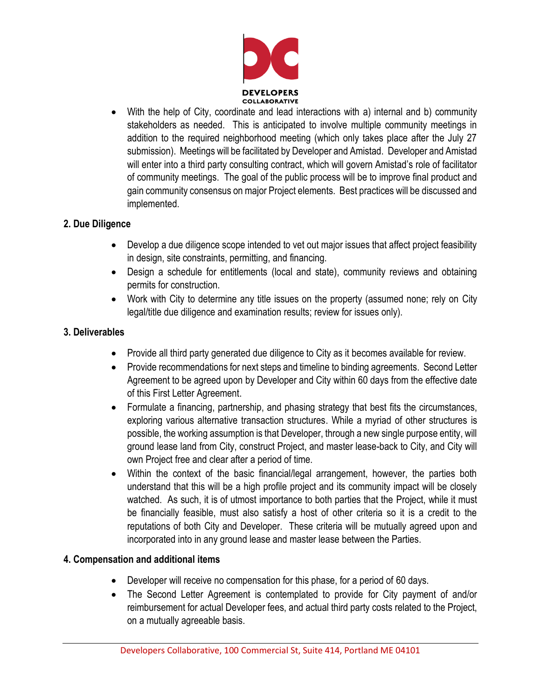

• With the help of City, coordinate and lead interactions with a) internal and b) community stakeholders as needed. This is anticipated to involve multiple community meetings in addition to the required neighborhood meeting (which only takes place after the July 27 submission). Meetings will be facilitated by Developer and Amistad. Developer and Amistad will enter into a third party consulting contract, which will govern Amistad's role of facilitator of community meetings. The goal of the public process will be to improve final product and gain community consensus on major Project elements. Best practices will be discussed and implemented.

### **2. Due Diligence**

- Develop a due diligence scope intended to vet out major issues that affect project feasibility in design, site constraints, permitting, and financing.
- Design a schedule for entitlements (local and state), community reviews and obtaining permits for construction.
- Work with City to determine any title issues on the property (assumed none; rely on City legal/title due diligence and examination results; review for issues only).

### **3. Deliverables**

- Provide all third party generated due diligence to City as it becomes available for review.
- Provide recommendations for next steps and timeline to binding agreements. Second Letter Agreement to be agreed upon by Developer and City within 60 days from the effective date of this First Letter Agreement.
- Formulate a financing, partnership, and phasing strategy that best fits the circumstances, exploring various alternative transaction structures. While a myriad of other structures is possible, the working assumption is that Developer, through a new single purpose entity, will ground lease land from City, construct Project, and master lease-back to City, and City will own Project free and clear after a period of time.
- Within the context of the basic financial/legal arrangement, however, the parties both understand that this will be a high profile project and its community impact will be closely watched. As such, it is of utmost importance to both parties that the Project, while it must be financially feasible, must also satisfy a host of other criteria so it is a credit to the reputations of both City and Developer. These criteria will be mutually agreed upon and incorporated into in any ground lease and master lease between the Parties.

# **4. Compensation and additional items**

- Developer will receive no compensation for this phase, for a period of 60 days.
- The Second Letter Agreement is contemplated to provide for City payment of and/or reimbursement for actual Developer fees, and actual third party costs related to the Project, on a mutually agreeable basis.